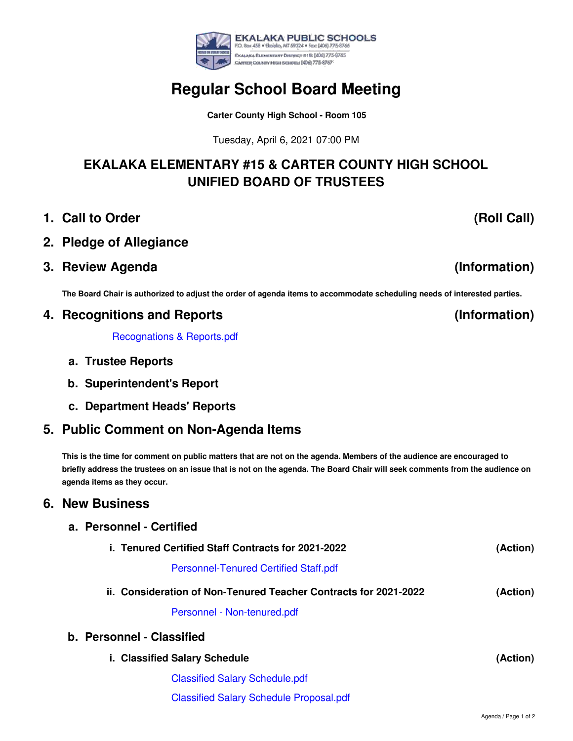

**Carter County High School - Room 105**

Tuesday, April 6, 2021 07:00 PM

## **EKALAKA ELEMENTARY #15 & CARTER COUNTY HIGH SCHOOL UNIFIED BOARD OF TRUSTEES**

- **1. Call to Order**
- **2. Pledge of Allegiance**
- **3. Review Agenda**

The Board Chair is authorized to adjust the order of agenda items to accommodate scheduling needs of interested parties.

### **4. Recognitions and Reports**

[Recognations](https://app.eduportal.com/documents/view/789267) & Reports.pdf

- **a. Trustee Reports**
- **b. Superintendent's Report**

**a. Personnel - Certified**

**c. Department Heads' Reports**

## **5. Public Comment on Non-Agenda Items**

This is the time for comment on public matters that are not on the agenda. Members of the audience are encouraged to briefly address the trustees on an issue that is not on the agenda. The Board Chair will seek comments from the audience on **agenda items as they occur.**

#### **6. New Business**

| i. Tenured Certified Staff Contracts for 2021-2022               |                                                | (Action) |
|------------------------------------------------------------------|------------------------------------------------|----------|
|                                                                  | <b>Personnel-Tenured Certified Staff.pdf</b>   |          |
| ii. Consideration of Non-Tenured Teacher Contracts for 2021-2022 |                                                | (Action) |
|                                                                  | Personnel - Non-tenured.pdf                    |          |
| b. Personnel - Classified                                        |                                                |          |
| i. Classified Salary Schedule                                    |                                                | (Action) |
|                                                                  | <b>Classified Salary Schedule.pdf</b>          |          |
|                                                                  | <b>Classified Salary Schedule Proposal.pdf</b> |          |

# **(Information)**

**(Information)**



**(Roll Call)**